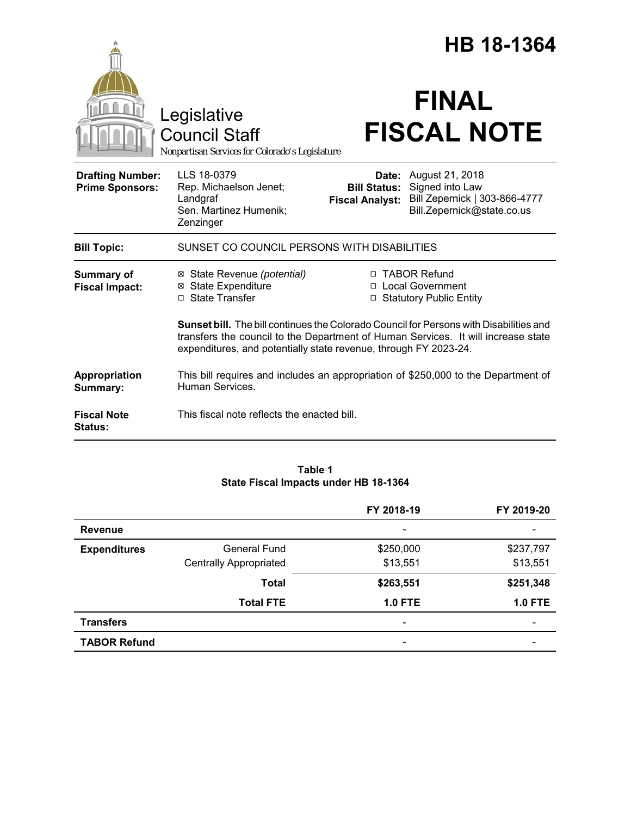|                                                   |                                                                                                                                                                                                                                                        | HB 18-1364                                    |                                                                                                                |  |
|---------------------------------------------------|--------------------------------------------------------------------------------------------------------------------------------------------------------------------------------------------------------------------------------------------------------|-----------------------------------------------|----------------------------------------------------------------------------------------------------------------|--|
|                                                   | Legislative<br><b>Council Staff</b><br>Nonpartisan Services for Colorado's Legislature                                                                                                                                                                 |                                               | <b>FINAL</b><br><b>FISCAL NOTE</b>                                                                             |  |
| <b>Drafting Number:</b><br><b>Prime Sponsors:</b> | LLS 18-0379<br>Rep. Michaelson Jenet;<br>Landgraf<br>Sen. Martinez Humenik;<br>Zenzinger                                                                                                                                                               | <b>Bill Status:</b><br><b>Fiscal Analyst:</b> | <b>Date:</b> August 21, 2018<br>Signed into Law<br>Bill Zepernick   303-866-4777<br>Bill.Zepernick@state.co.us |  |
| <b>Bill Topic:</b>                                | SUNSET CO COUNCIL PERSONS WITH DISABILITIES                                                                                                                                                                                                            |                                               |                                                                                                                |  |
| Summary of<br><b>Fiscal Impact:</b>               | ⊠ State Revenue (potential)<br>⊠ State Expenditure<br>□ State Transfer                                                                                                                                                                                 |                                               | □ TABOR Refund<br>□ Local Government<br>□ Statutory Public Entity                                              |  |
|                                                   | <b>Sunset bill.</b> The bill continues the Colorado Council for Persons with Disabilities and<br>transfers the council to the Department of Human Services. It will increase state<br>expenditures, and potentially state revenue, through FY 2023-24. |                                               |                                                                                                                |  |
| Appropriation<br>Summary:                         | Human Services.                                                                                                                                                                                                                                        |                                               | This bill requires and includes an appropriation of \$250,000 to the Department of                             |  |
| <b>Fiscal Note</b><br><b>Status:</b>              | This fiscal note reflects the enacted bill.                                                                                                                                                                                                            |                                               |                                                                                                                |  |

# **Table 1 State Fiscal Impacts under HB 18-1364**

|                     |                               | FY 2018-19               | FY 2019-20     |
|---------------------|-------------------------------|--------------------------|----------------|
| <b>Revenue</b>      |                               |                          |                |
| <b>Expenditures</b> | <b>General Fund</b>           | \$250,000                | \$237,797      |
|                     | <b>Centrally Appropriated</b> | \$13,551                 | \$13,551       |
|                     | <b>Total</b>                  | \$263,551                | \$251,348      |
|                     | <b>Total FTE</b>              | <b>1.0 FTE</b>           | <b>1.0 FTE</b> |
| <b>Transfers</b>    |                               | $\overline{\phantom{0}}$ |                |
| <b>TABOR Refund</b> |                               | $\overline{\phantom{0}}$ |                |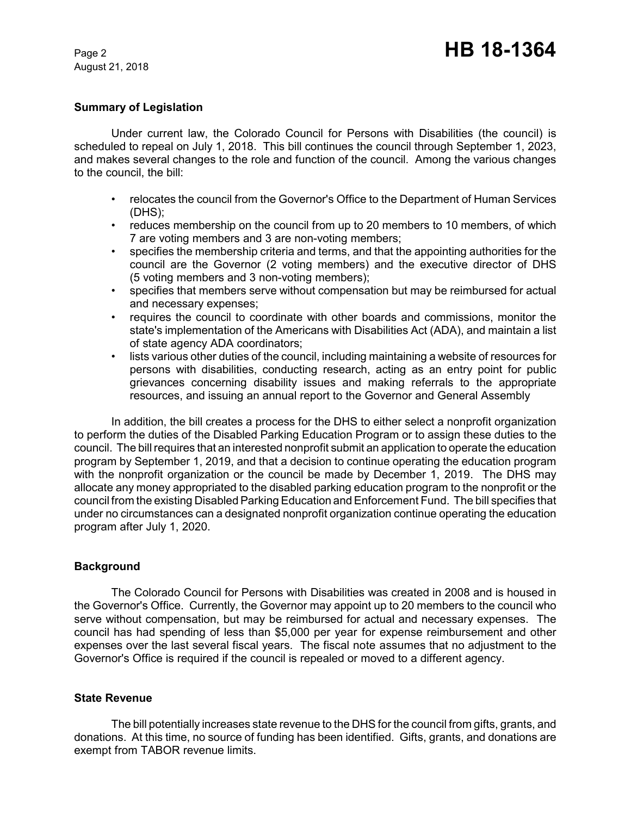August 21, 2018

# **Summary of Legislation**

Under current law, the Colorado Council for Persons with Disabilities (the council) is scheduled to repeal on July 1, 2018. This bill continues the council through September 1, 2023, and makes several changes to the role and function of the council. Among the various changes to the council, the bill:

- relocates the council from the Governor's Office to the Department of Human Services (DHS);
- reduces membership on the council from up to 20 members to 10 members, of which 7 are voting members and 3 are non-voting members;
- specifies the membership criteria and terms, and that the appointing authorities for the council are the Governor (2 voting members) and the executive director of DHS (5 voting members and 3 non-voting members);
- specifies that members serve without compensation but may be reimbursed for actual and necessary expenses;
- requires the council to coordinate with other boards and commissions, monitor the state's implementation of the Americans with Disabilities Act (ADA), and maintain a list of state agency ADA coordinators;
- lists various other duties of the council, including maintaining a website of resources for persons with disabilities, conducting research, acting as an entry point for public grievances concerning disability issues and making referrals to the appropriate resources, and issuing an annual report to the Governor and General Assembly

In addition, the bill creates a process for the DHS to either select a nonprofit organization to perform the duties of the Disabled Parking Education Program or to assign these duties to the council. The bill requires that an interested nonprofit submit an application to operate the education program by September 1, 2019, and that a decision to continue operating the education program with the nonprofit organization or the council be made by December 1, 2019. The DHS may allocate any money appropriated to the disabled parking education program to the nonprofit or the council from the existing Disabled Parking Education and Enforcement Fund. The bill specifies that under no circumstances can a designated nonprofit organization continue operating the education program after July 1, 2020.

### **Background**

The Colorado Council for Persons with Disabilities was created in 2008 and is housed in the Governor's Office. Currently, the Governor may appoint up to 20 members to the council who serve without compensation, but may be reimbursed for actual and necessary expenses. The council has had spending of less than \$5,000 per year for expense reimbursement and other expenses over the last several fiscal years. The fiscal note assumes that no adjustment to the Governor's Office is required if the council is repealed or moved to a different agency.

### **State Revenue**

The bill potentially increases state revenue to the DHS for the council from gifts, grants, and donations. At this time, no source of funding has been identified. Gifts, grants, and donations are exempt from TABOR revenue limits.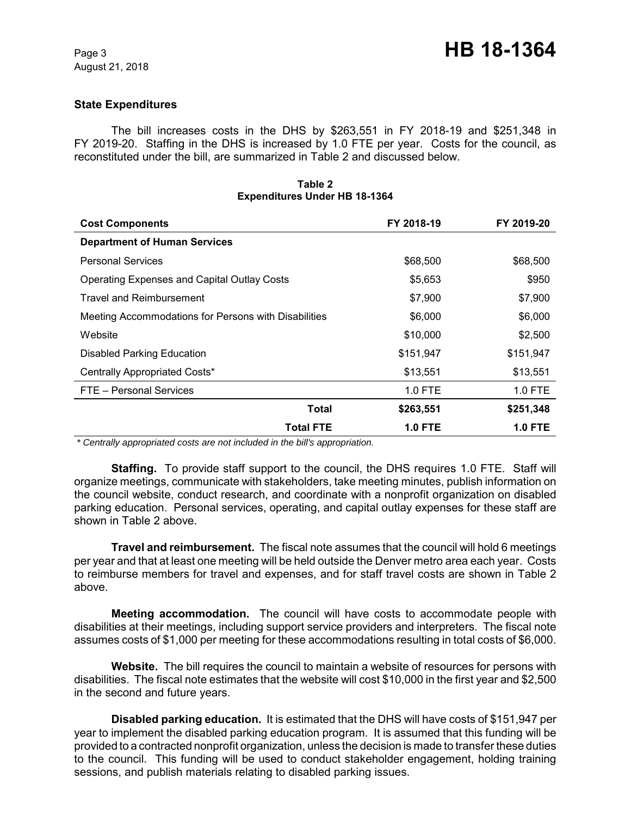# **State Expenditures**

The bill increases costs in the DHS by \$263,551 in FY 2018-19 and \$251,348 in FY 2019-20. Staffing in the DHS is increased by 1.0 FTE per year. Costs for the council, as reconstituted under the bill, are summarized in Table 2 and discussed below.

| <b>Cost Components</b>                               | FY 2018-19     | FY 2019-20     |
|------------------------------------------------------|----------------|----------------|
| <b>Department of Human Services</b>                  |                |                |
| <b>Personal Services</b>                             | \$68,500       | \$68,500       |
| <b>Operating Expenses and Capital Outlay Costs</b>   | \$5,653        | \$950          |
| <b>Travel and Reimbursement</b>                      | \$7,900        | \$7,900        |
| Meeting Accommodations for Persons with Disabilities | \$6,000        | \$6,000        |
| Website                                              | \$10,000       | \$2,500        |
| <b>Disabled Parking Education</b>                    | \$151,947      | \$151,947      |
| Centrally Appropriated Costs*                        | \$13,551       | \$13,551       |
| FTE - Personal Services                              | 1.0 FTE        | $1.0$ FTE      |
| Total                                                | \$263,551      | \$251,348      |
| <b>Total FTE</b>                                     | <b>1.0 FTE</b> | <b>1.0 FTE</b> |

#### **Table 2 Expenditures Under HB 18-1364**

 *\* Centrally appropriated costs are not included in the bill's appropriation.*

**Staffing.** To provide staff support to the council, the DHS requires 1.0 FTE. Staff will organize meetings, communicate with stakeholders, take meeting minutes, publish information on the council website, conduct research, and coordinate with a nonprofit organization on disabled parking education. Personal services, operating, and capital outlay expenses for these staff are shown in Table 2 above.

**Travel and reimbursement.** The fiscal note assumes that the council will hold 6 meetings per year and that at least one meeting will be held outside the Denver metro area each year. Costs to reimburse members for travel and expenses, and for staff travel costs are shown in Table 2 above.

**Meeting accommodation.** The council will have costs to accommodate people with disabilities at their meetings, including support service providers and interpreters. The fiscal note assumes costs of \$1,000 per meeting for these accommodations resulting in total costs of \$6,000.

**Website.** The bill requires the council to maintain a website of resources for persons with disabilities. The fiscal note estimates that the website will cost \$10,000 in the first year and \$2,500 in the second and future years.

**Disabled parking education.** It is estimated that the DHS will have costs of \$151,947 per year to implement the disabled parking education program. It is assumed that this funding will be provided to a contracted nonprofit organization, unless the decision is made to transfer these duties to the council. This funding will be used to conduct stakeholder engagement, holding training sessions, and publish materials relating to disabled parking issues.